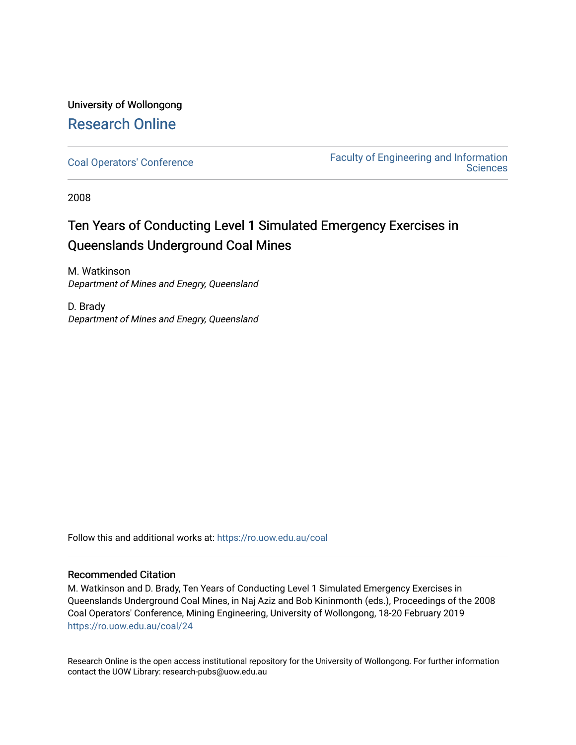# University of Wollongong [Research Online](https://ro.uow.edu.au/)

[Coal Operators' Conference](https://ro.uow.edu.au/coal) [Faculty of Engineering and Information](https://ro.uow.edu.au/eis)  **Sciences** 

2008

# Ten Years of Conducting Level 1 Simulated Emergency Exercises in Queenslands Underground Coal Mines

M. Watkinson Department of Mines and Enegry, Queensland

D. Brady Department of Mines and Enegry, Queensland

Follow this and additional works at: [https://ro.uow.edu.au/coal](https://ro.uow.edu.au/coal?utm_source=ro.uow.edu.au%2Fcoal%2F24&utm_medium=PDF&utm_campaign=PDFCoverPages) 

# Recommended Citation

M. Watkinson and D. Brady, Ten Years of Conducting Level 1 Simulated Emergency Exercises in Queenslands Underground Coal Mines, in Naj Aziz and Bob Kininmonth (eds.), Proceedings of the 2008 Coal Operators' Conference, Mining Engineering, University of Wollongong, 18-20 February 2019 [https://ro.uow.edu.au/coal/24](https://ro.uow.edu.au/coal/24?utm_source=ro.uow.edu.au%2Fcoal%2F24&utm_medium=PDF&utm_campaign=PDFCoverPages) 

Research Online is the open access institutional repository for the University of Wollongong. For further information contact the UOW Library: research-pubs@uow.edu.au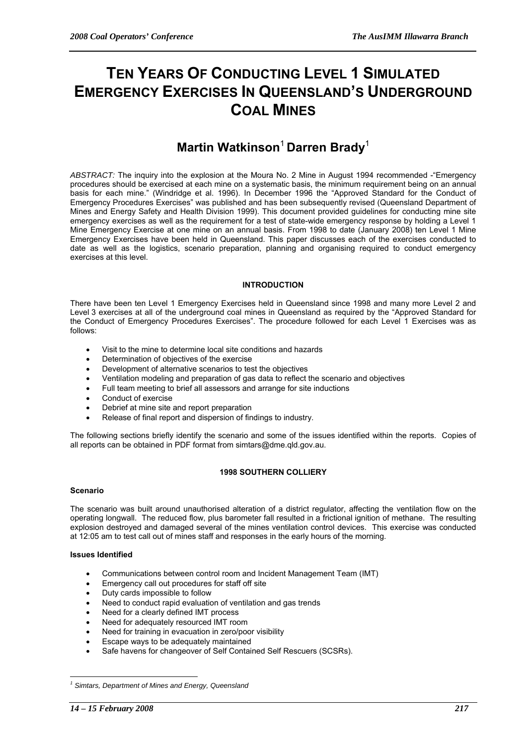# **TEN YEARS OF CONDUCTING LEVEL 1 SIMULATED EMERGENCY EXERCISES IN QUEENSLAND'S UNDERGROUND COAL MINES**

# **Martin Watkinson**<sup>1</sup> **Darren Brady**<sup>1</sup>

*ABSTRACT:* The inquiry into the explosion at the Moura No. 2 Mine in August 1994 recommended -"Emergency procedures should be exercised at each mine on a systematic basis, the minimum requirement being on an annual basis for each mine." (Windridge et al. 1996). In December 1996 the "Approved Standard for the Conduct of Emergency Procedures Exercises" was published and has been subsequently revised (Queensland Department of Mines and Energy Safety and Health Division 1999). This document provided guidelines for conducting mine site emergency exercises as well as the requirement for a test of state-wide emergency response by holding a Level 1 Mine Emergency Exercise at one mine on an annual basis. From 1998 to date (January 2008) ten Level 1 Mine Emergency Exercises have been held in Queensland. This paper discusses each of the exercises conducted to date as well as the logistics, scenario preparation, planning and organising required to conduct emergency exercises at this level.

# **INTRODUCTION**

There have been ten Level 1 Emergency Exercises held in Queensland since 1998 and many more Level 2 and Level 3 exercises at all of the underground coal mines in Queensland as required by the "Approved Standard for the Conduct of Emergency Procedures Exercises". The procedure followed for each Level 1 Exercises was as follows:

- Visit to the mine to determine local site conditions and hazards
- Determination of objectives of the exercise
- Development of alternative scenarios to test the objectives
- Ventilation modeling and preparation of gas data to reflect the scenario and objectives
- Full team meeting to brief all assessors and arrange for site inductions
- Conduct of exercise
- Debrief at mine site and report preparation
- Release of final report and dispersion of findings to industry.

The following sections briefly identify the scenario and some of the issues identified within the reports. Copies of all reports can be obtained in PDF format from simtars@dme.qld.gov.au.

# **1998 SOUTHERN COLLIERY**

# **Scenario**

The scenario was built around unauthorised alteration of a district regulator, affecting the ventilation flow on the operating longwall. The reduced flow, plus barometer fall resulted in a frictional ignition of methane. The resulting explosion destroyed and damaged several of the mines ventilation control devices. This exercise was conducted at 12:05 am to test call out of mines staff and responses in the early hours of the morning.

# **Issues Identified**

- Communications between control room and Incident Management Team (IMT)
- Emergency call out procedures for staff off site
- Duty cards impossible to follow
- Need to conduct rapid evaluation of ventilation and gas trends
- Need for a clearly defined IMT process
- Need for adequately resourced IMT room
- Need for training in evacuation in zero/poor visibility
- Escape ways to be adequately maintained
- Safe havens for changeover of Self Contained Self Rescuers (SCSRs).

 $\overline{a}$ 

*<sup>1</sup> Simtars, Department of Mines and Energy, Queensland*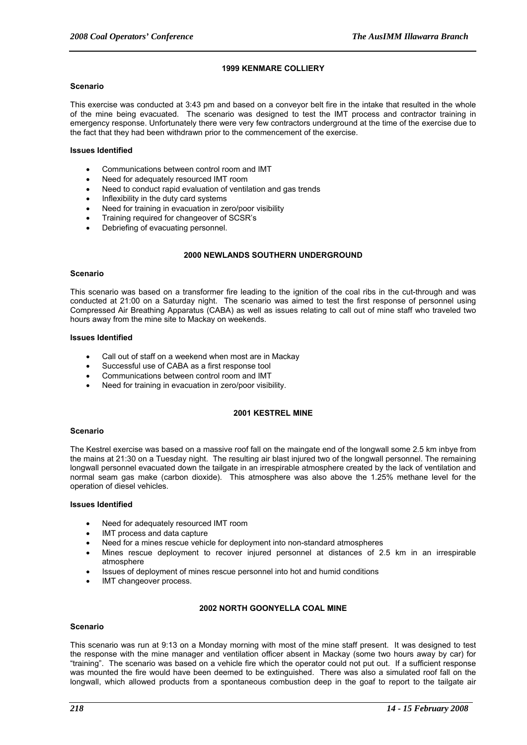# **1999 KENMARE COLLIERY**

#### **Scenario**

This exercise was conducted at 3:43 pm and based on a conveyor belt fire in the intake that resulted in the whole of the mine being evacuated. The scenario was designed to test the IMT process and contractor training in emergency response. Unfortunately there were very few contractors underground at the time of the exercise due to the fact that they had been withdrawn prior to the commencement of the exercise.

# **Issues Identified**

- Communications between control room and IMT
- Need for adequately resourced IMT room
- Need to conduct rapid evaluation of ventilation and gas trends
- Inflexibility in the duty card systems
- Need for training in evacuation in zero/poor visibility
- Training required for changeover of SCSR's
- Debriefing of evacuating personnel.

# **2000 NEWLANDS SOUTHERN UNDERGROUND**

#### **Scenario**

This scenario was based on a transformer fire leading to the ignition of the coal ribs in the cut-through and was conducted at 21:00 on a Saturday night. The scenario was aimed to test the first response of personnel using Compressed Air Breathing Apparatus (CABA) as well as issues relating to call out of mine staff who traveled two hours away from the mine site to Mackay on weekends.

# **Issues Identified**

- Call out of staff on a weekend when most are in Mackay
- Successful use of CABA as a first response tool
- Communications between control room and IMT
- Need for training in evacuation in zero/poor visibility.

# **2001 KESTREL MINE**

#### **Scenario**

The Kestrel exercise was based on a massive roof fall on the maingate end of the longwall some 2.5 km inbye from the mains at 21:30 on a Tuesday night. The resulting air blast injured two of the longwall personnel. The remaining longwall personnel evacuated down the tailgate in an irrespirable atmosphere created by the lack of ventilation and normal seam gas make (carbon dioxide). This atmosphere was also above the 1.25% methane level for the operation of diesel vehicles.

#### **Issues Identified**

- Need for adequately resourced IMT room
- IMT process and data capture
- Need for a mines rescue vehicle for deployment into non-standard atmospheres
- Mines rescue deployment to recover injured personnel at distances of 2.5 km in an irrespirable atmosphere
- Issues of deployment of mines rescue personnel into hot and humid conditions
- IMT changeover process.

# **2002 NORTH GOONYELLA COAL MINE**

# **Scenario**

This scenario was run at 9:13 on a Monday morning with most of the mine staff present. It was designed to test the response with the mine manager and ventilation officer absent in Mackay (some two hours away by car) for "training". The scenario was based on a vehicle fire which the operator could not put out. If a sufficient response was mounted the fire would have been deemed to be extinguished. There was also a simulated roof fall on the longwall, which allowed products from a spontaneous combustion deep in the goaf to report to the tailgate air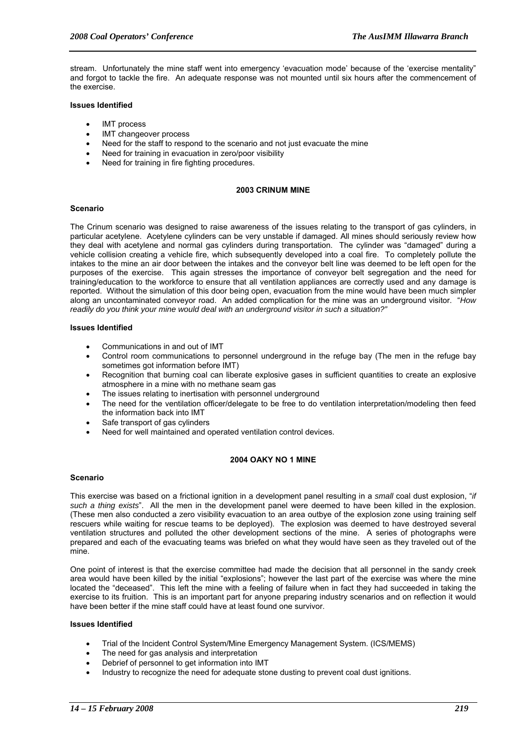stream. Unfortunately the mine staff went into emergency 'evacuation mode' because of the 'exercise mentality" and forgot to tackle the fire. An adequate response was not mounted until six hours after the commencement of the exercise.

#### **Issues Identified**

- IMT process
- IMT changeover process
- Need for the staff to respond to the scenario and not just evacuate the mine
- Need for training in evacuation in zero/poor visibility
- Need for training in fire fighting procedures.

# **2003 CRINUM MINE**

#### **Scenario**

The Crinum scenario was designed to raise awareness of the issues relating to the transport of gas cylinders, in particular acetylene. Acetylene cylinders can be very unstable if damaged. All mines should seriously review how they deal with acetylene and normal gas cylinders during transportation. The cylinder was "damaged" during a vehicle collision creating a vehicle fire, which subsequently developed into a coal fire. To completely pollute the intakes to the mine an air door between the intakes and the conveyor belt line was deemed to be left open for the purposes of the exercise. This again stresses the importance of conveyor belt segregation and the need for training/education to the workforce to ensure that all ventilation appliances are correctly used and any damage is reported. Without the simulation of this door being open, evacuation from the mine would have been much simpler along an uncontaminated conveyor road. An added complication for the mine was an underground visitor. "*How readily do you think your mine would deal with an underground visitor in such a situation?"*

#### **Issues Identified**

- Communications in and out of IMT
- Control room communications to personnel underground in the refuge bay (The men in the refuge bay sometimes got information before IMT)
- Recognition that burning coal can liberate explosive gases in sufficient quantities to create an explosive atmosphere in a mine with no methane seam gas
- The issues relating to inertisation with personnel underground
- The need for the ventilation officer/delegate to be free to do ventilation interpretation/modeling then feed the information back into IMT
- Safe transport of gas cylinders
- Need for well maintained and operated ventilation control devices.

# **2004 OAKY NO 1 MINE**

# **Scenario**

This exercise was based on a frictional ignition in a development panel resulting in a *small* coal dust explosion, "*if such a thing exists*". All the men in the development panel were deemed to have been killed in the explosion. (These men also conducted a zero visibility evacuation to an area outbye of the explosion zone using training self rescuers while waiting for rescue teams to be deployed). The explosion was deemed to have destroyed several ventilation structures and polluted the other development sections of the mine. A series of photographs were prepared and each of the evacuating teams was briefed on what they would have seen as they traveled out of the mine.

One point of interest is that the exercise committee had made the decision that all personnel in the sandy creek area would have been killed by the initial "explosions"; however the last part of the exercise was where the mine located the "deceased". This left the mine with a feeling of failure when in fact they had succeeded in taking the exercise to its fruition. This is an important part for anyone preparing industry scenarios and on reflection it would have been better if the mine staff could have at least found one survivor.

# **Issues Identified**

- Trial of the Incident Control System/Mine Emergency Management System. (ICS/MEMS)
- The need for gas analysis and interpretation
- Debrief of personnel to get information into IMT
- Industry to recognize the need for adequate stone dusting to prevent coal dust ignitions.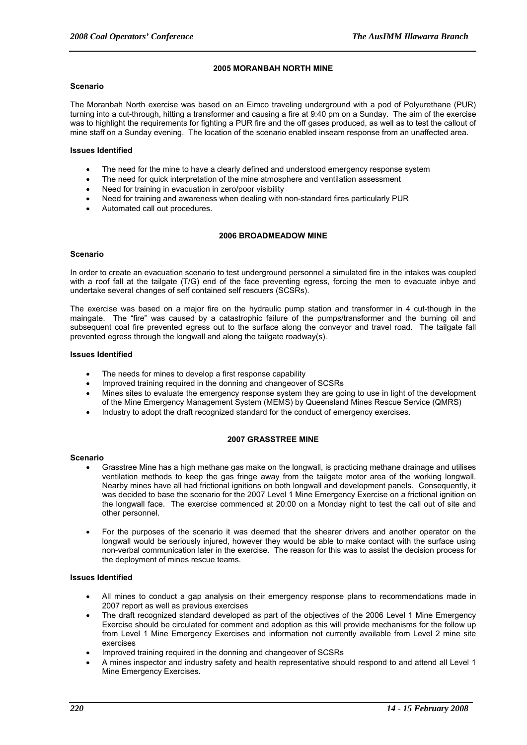# **2005 MORANBAH NORTH MINE**

#### **Scenario**

The Moranbah North exercise was based on an Eimco traveling underground with a pod of Polyurethane (PUR) turning into a cut-through, hitting a transformer and causing a fire at 9:40 pm on a Sunday. The aim of the exercise was to highlight the requirements for fighting a PUR fire and the off gases produced, as well as to test the callout of mine staff on a Sunday evening. The location of the scenario enabled inseam response from an unaffected area.

# **Issues Identified**

- The need for the mine to have a clearly defined and understood emergency response system
- The need for quick interpretation of the mine atmosphere and ventilation assessment
- Need for training in evacuation in zero/poor visibility
- Need for training and awareness when dealing with non-standard fires particularly PUR
- Automated call out procedures.

#### **2006 BROADMEADOW MINE**

#### **Scenario**

In order to create an evacuation scenario to test underground personnel a simulated fire in the intakes was coupled with a roof fall at the tailgate (T/G) end of the face preventing egress, forcing the men to evacuate inbye and undertake several changes of self contained self rescuers (SCSRs).

The exercise was based on a major fire on the hydraulic pump station and transformer in 4 cut-though in the maingate. The "fire" was caused by a catastrophic failure of the pumps/transformer and the burning oil and subsequent coal fire prevented egress out to the surface along the conveyor and travel road. The tailgate fall prevented egress through the longwall and along the tailgate roadway(s).

#### **Issues Identified**

- The needs for mines to develop a first response capability
- Improved training required in the donning and changeover of SCSRs
- Mines sites to evaluate the emergency response system they are going to use in light of the development of the Mine Emergency Management System (MEMS) by Queensland Mines Rescue Service (QMRS)
- Industry to adopt the draft recognized standard for the conduct of emergency exercises.

#### **2007 GRASSTREE MINE**

#### **Scenario**

- Grasstree Mine has a high methane gas make on the longwall, is practicing methane drainage and utilises ventilation methods to keep the gas fringe away from the tailgate motor area of the working longwall. Nearby mines have all had frictional ignitions on both longwall and development panels. Consequently, it was decided to base the scenario for the 2007 Level 1 Mine Emergency Exercise on a frictional ignition on the longwall face. The exercise commenced at 20:00 on a Monday night to test the call out of site and other personnel.
- For the purposes of the scenario it was deemed that the shearer drivers and another operator on the longwall would be seriously injured, however they would be able to make contact with the surface using non-verbal communication later in the exercise. The reason for this was to assist the decision process for the deployment of mines rescue teams.

# **Issues Identified**

- All mines to conduct a gap analysis on their emergency response plans to recommendations made in 2007 report as well as previous exercises
- The draft recognized standard developed as part of the objectives of the 2006 Level 1 Mine Emergency Exercise should be circulated for comment and adoption as this will provide mechanisms for the follow up from Level 1 Mine Emergency Exercises and information not currently available from Level 2 mine site exercises
- Improved training required in the donning and changeover of SCSRs
- A mines inspector and industry safety and health representative should respond to and attend all Level 1 Mine Emergency Exercises.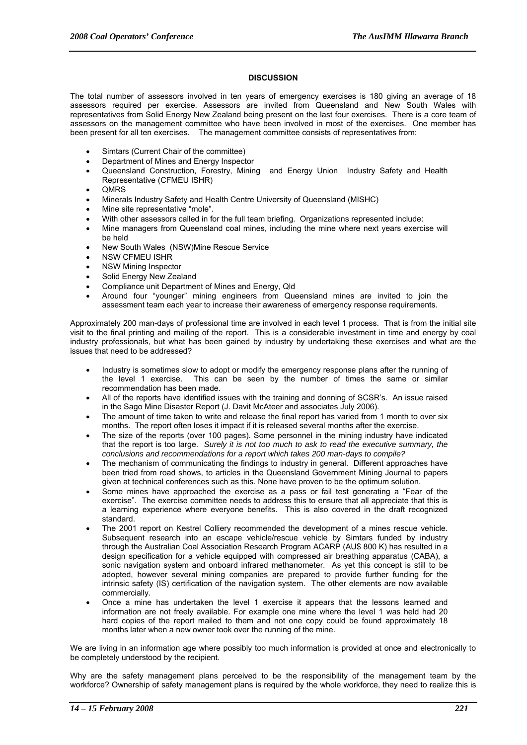# **DISCUSSION**

The total number of assessors involved in ten years of emergency exercises is 180 giving an average of 18 assessors required per exercise. Assessors are invited from Queensland and New South Wales with representatives from Solid Energy New Zealand being present on the last four exercises. There is a core team of assessors on the management committee who have been involved in most of the exercises. One member has been present for all ten exercises. The management committee consists of representatives from:

- Simtars (Current Chair of the committee)
- Department of Mines and Energy Inspector
- Queensland Construction, Forestry, Mining and Energy Union Industry Safety and Health Representative (CFMEU ISHR)
- QMRS
- Minerals Industry Safety and Health Centre University of Queensland (MISHC)
- Mine site representative "mole".
- With other assessors called in for the full team briefing. Organizations represented include:
- Mine managers from Queensland coal mines, including the mine where next years exercise will be held
- New South Wales (NSW)Mine Rescue Service
- NSW CFMEU ISHR
- NSW Mining Inspector
- Solid Energy New Zealand
- Compliance unit Department of Mines and Energy, Qld
- Around four "younger" mining engineers from Queensland mines are invited to join the assessment team each year to increase their awareness of emergency response requirements.

Approximately 200 man-days of professional time are involved in each level 1 process. That is from the initial site visit to the final printing and mailing of the report. This is a considerable investment in time and energy by coal industry professionals, but what has been gained by industry by undertaking these exercises and what are the issues that need to be addressed?

- Industry is sometimes slow to adopt or modify the emergency response plans after the running of the level 1 exercise. This can be seen by the number of times the same or similar recommendation has been made.
- All of the reports have identified issues with the training and donning of SCSR's. An issue raised in the Sago Mine Disaster Report (J. Davit McAteer and associates July 2006).
- The amount of time taken to write and release the final report has varied from 1 month to over six months. The report often loses it impact if it is released several months after the exercise.
- The size of the reports (over 100 pages). Some personnel in the mining industry have indicated that the report is too large. *Surely it is not too much to ask to read the executive summary, the conclusions and recommendations for a report which takes 200 man-days to compile?*
- The mechanism of communicating the findings to industry in general. Different approaches have been tried from road shows, to articles in the Queensland Government Mining Journal to papers given at technical conferences such as this. None have proven to be the optimum solution.
- Some mines have approached the exercise as a pass or fail test generating a "Fear of the exercise". The exercise committee needs to address this to ensure that all appreciate that this is a learning experience where everyone benefits. This is also covered in the draft recognized standard.
- The 2001 report on Kestrel Colliery recommended the development of a mines rescue vehicle. Subsequent research into an escape vehicle/rescue vehicle by Simtars funded by industry through the Australian Coal Association Research Program ACARP (AU\$ 800 K) has resulted in a design specification for a vehicle equipped with compressed air breathing apparatus (CABA), a sonic navigation system and onboard infrared methanometer. As yet this concept is still to be adopted, however several mining companies are prepared to provide further funding for the intrinsic safety (IS) certification of the navigation system. The other elements are now available commercially.
- Once a mine has undertaken the level 1 exercise it appears that the lessons learned and information are not freely available. For example one mine where the level 1 was held had 20 hard copies of the report mailed to them and not one copy could be found approximately 18 months later when a new owner took over the running of the mine.

We are living in an information age where possibly too much information is provided at once and electronically to be completely understood by the recipient.

Why are the safety management plans perceived to be the responsibility of the management team by the workforce? Ownership of safety management plans is required by the whole workforce, they need to realize this is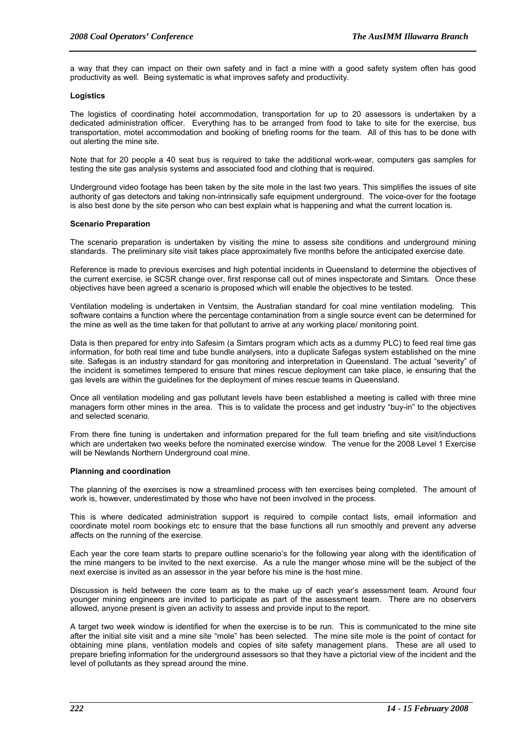a way that they can impact on their own safety and in fact a mine with a good safety system often has good productivity as well. Being systematic is what improves safety and productivity.

# **Logistics**

The logistics of coordinating hotel accommodation, transportation for up to 20 assessors is undertaken by a dedicated administration officer. Everything has to be arranged from food to take to site for the exercise, bus transportation, motel accommodation and booking of briefing rooms for the team. All of this has to be done with out alerting the mine site.

Note that for 20 people a 40 seat bus is required to take the additional work-wear, computers gas samples for testing the site gas analysis systems and associated food and clothing that is required.

Underground video footage has been taken by the site mole in the last two years. This simplifies the issues of site authority of gas detectors and taking non-intrinsically safe equipment underground. The voice-over for the footage is also best done by the site person who can best explain what is happening and what the current location is.

# **Scenario Preparation**

The scenario preparation is undertaken by visiting the mine to assess site conditions and underground mining standards. The preliminary site visit takes place approximately five months before the anticipated exercise date.

Reference is made to previous exercises and high potential incidents in Queensland to determine the objectives of the current exercise, ie SCSR change over, first response call out of mines inspectorate and Simtars. Once these objectives have been agreed a scenario is proposed which will enable the objectives to be tested.

Ventilation modeling is undertaken in Ventsim, the Australian standard for coal mine ventilation modeling. This software contains a function where the percentage contamination from a single source event can be determined for the mine as well as the time taken for that pollutant to arrive at any working place/ monitoring point.

Data is then prepared for entry into Safesim (a Simtars program which acts as a dummy PLC) to feed real time gas information, for both real time and tube bundle analysers, into a duplicate Safegas system established on the mine site. Safegas is an industry standard for gas monitoring and interpretation in Queensland. The actual "severity" of the incident is sometimes tempered to ensure that mines rescue deployment can take place, ie ensuring that the gas levels are within the guidelines for the deployment of mines rescue teams in Queensland.

Once all ventilation modeling and gas pollutant levels have been established a meeting is called with three mine managers form other mines in the area. This is to validate the process and get industry "buy-in" to the objectives and selected scenario.

From there fine tuning is undertaken and information prepared for the full team briefing and site visit/inductions which are undertaken two weeks before the nominated exercise window. The venue for the 2008 Level 1 Exercise will be Newlands Northern Underground coal mine.

#### **Planning and coordination**

The planning of the exercises is now a streamlined process with ten exercises being completed. The amount of work is, however, underestimated by those who have not been involved in the process.

This is where dedicated administration support is required to compile contact lists, email information and coordinate motel room bookings etc to ensure that the base functions all run smoothly and prevent any adverse affects on the running of the exercise.

Each year the core team starts to prepare outline scenario's for the following year along with the identification of the mine mangers to be invited to the next exercise. As a rule the manger whose mine will be the subject of the next exercise is invited as an assessor in the year before his mine is the host mine.

Discussion is held between the core team as to the make up of each year's assessment team. Around four younger mining engineers are invited to participate as part of the assessment team. There are no observers allowed, anyone present is given an activity to assess and provide input to the report.

A target two week window is identified for when the exercise is to be run. This is communicated to the mine site after the initial site visit and a mine site "mole" has been selected. The mine site mole is the point of contact for obtaining mine plans, ventilation models and copies of site safety management plans. These are all used to prepare briefing information for the underground assessors so that they have a pictorial view of the incident and the level of pollutants as they spread around the mine.